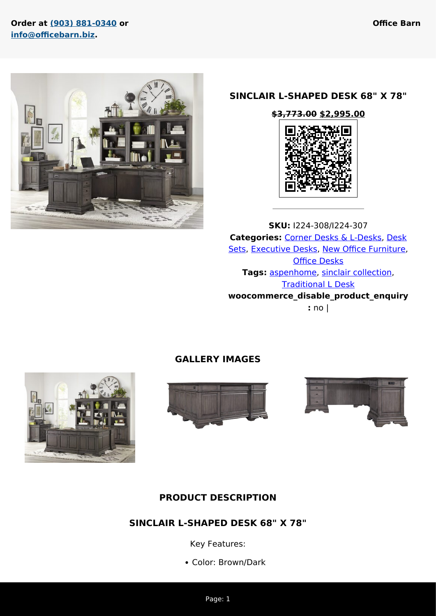### **Order at [\(903\) 881-0340](#page--1-0) or [info@officebarn.biz](mailto:info@officebarn.biz).**



### **SINCLAIR L-SHAPED DESK 68" X 78"**



**SKU:** I224-308/I224-307 **Categories:** [Corner Desks & L-Desks](https://www.officebarn.biz/product-category/new-office-furniture/desks-new/corner-desks-l-desks-new/), [Desk](https://www.officebarn.biz/product-category/new-office-furniture/desks-new/desk-sets-new/) [Sets,](https://www.officebarn.biz/product-category/new-office-furniture/desks-new/desk-sets-new/) [Executive Desks](https://www.officebarn.biz/product-category/new-office-furniture/desks-new/executive-desks-new/), [New Office Furniture,](https://www.officebarn.biz/product-category/new-office-furniture/) **[Office Desks](https://www.officebarn.biz/product-category/new-office-furniture/desks-new/) Tags:** [aspenhome,](https://www.officebarn.biz/product-tag/aspenhome/) [sinclair collection](https://www.officebarn.biz/product-tag/sinclair-collection/), [Traditional L Desk](https://www.officebarn.biz/product-tag/traditional-l-desk/) **woocommerce\_disable\_product\_enquiry :** no |

## **GALLERY IMAGES**







## **PRODUCT DESCRIPTION**

## **SINCLAIR L-SHAPED DESK 68" X 78"**

Key Features:

Color: Brown/Dark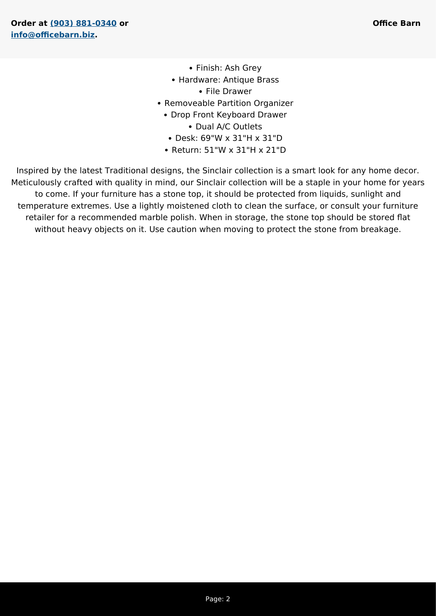- Finish: Ash Grey
- Hardware: Antique Brass
	- File Drawer
- Removeable Partition Organizer
	- Drop Front Keyboard Drawer

• Dual A/C Outlets

- Desk: 69"W x 31"H x 31"D
- Return: 51"W x 31"H x 21"D

Inspired by the latest Traditional designs, the Sinclair collection is a smart look for any home decor. Meticulously crafted with quality in mind, our Sinclair collection will be a staple in your home for years to come. If your furniture has a stone top, it should be protected from liquids, sunlight and temperature extremes. Use a lightly moistened cloth to clean the surface, or consult your furniture retailer for a recommended marble polish. When in storage, the stone top should be stored flat without heavy objects on it. Use caution when moving to protect the stone from breakage.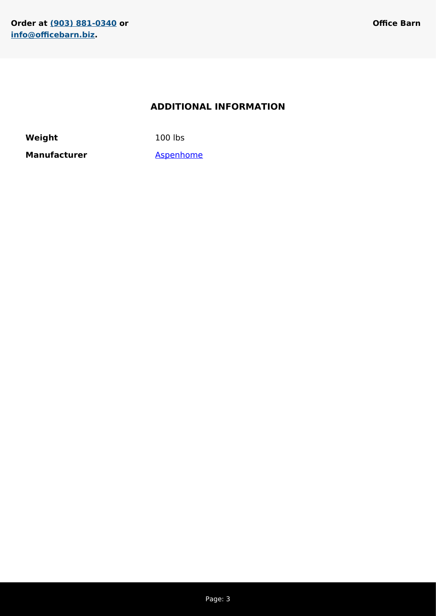## **ADDITIONAL INFORMATION**

**Weight** 100 lbs

Manufacturer **[Aspenhome](https://www.officebarn.biz/manufacturer/aspenhome/)**